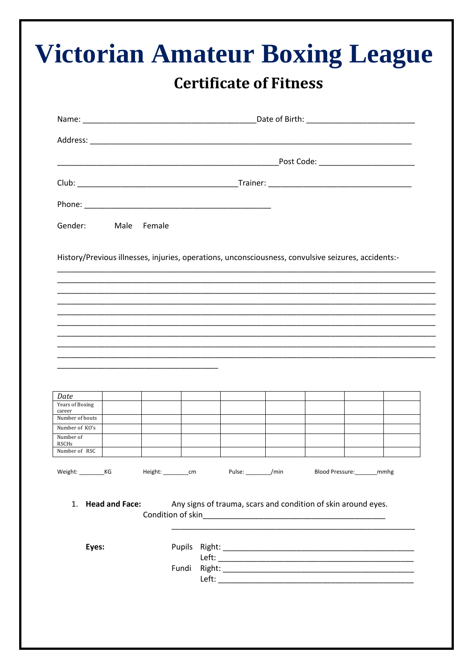| Gender: Male Female                                                                                                                      |  |  |  |  |                                             |  |                              |  |
|------------------------------------------------------------------------------------------------------------------------------------------|--|--|--|--|---------------------------------------------|--|------------------------------|--|
|                                                                                                                                          |  |  |  |  |                                             |  |                              |  |
|                                                                                                                                          |  |  |  |  |                                             |  |                              |  |
|                                                                                                                                          |  |  |  |  |                                             |  |                              |  |
|                                                                                                                                          |  |  |  |  |                                             |  |                              |  |
| Date<br>Years of Boxing<br>career<br>Number of bouts<br>Number of KO's<br>Number of<br>RSCHs<br>Number of RSC<br>Weight: _____________KG |  |  |  |  | Height: ___________cm Pulse: __________/min |  | Blood Pressure: _______ mmhg |  |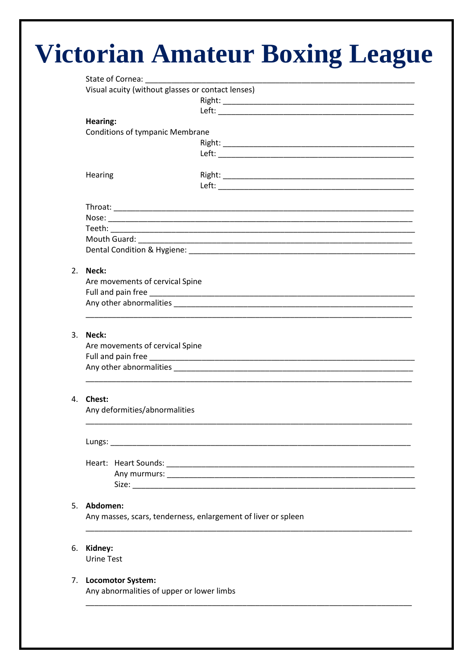## Victorian Amateur Boxing League

|                | Visual acuity (without glasses or contact lenses)                                                     |  |  |  |  |  |  |  |
|----------------|-------------------------------------------------------------------------------------------------------|--|--|--|--|--|--|--|
|                |                                                                                                       |  |  |  |  |  |  |  |
|                |                                                                                                       |  |  |  |  |  |  |  |
|                | Hearing:                                                                                              |  |  |  |  |  |  |  |
|                | <b>Conditions of tympanic Membrane</b>                                                                |  |  |  |  |  |  |  |
|                |                                                                                                       |  |  |  |  |  |  |  |
|                |                                                                                                       |  |  |  |  |  |  |  |
|                | Hearing                                                                                               |  |  |  |  |  |  |  |
|                |                                                                                                       |  |  |  |  |  |  |  |
|                |                                                                                                       |  |  |  |  |  |  |  |
|                |                                                                                                       |  |  |  |  |  |  |  |
|                |                                                                                                       |  |  |  |  |  |  |  |
|                |                                                                                                       |  |  |  |  |  |  |  |
|                |                                                                                                       |  |  |  |  |  |  |  |
|                |                                                                                                       |  |  |  |  |  |  |  |
|                |                                                                                                       |  |  |  |  |  |  |  |
| 2.             | Neck:                                                                                                 |  |  |  |  |  |  |  |
|                | Are movements of cervical Spine                                                                       |  |  |  |  |  |  |  |
|                |                                                                                                       |  |  |  |  |  |  |  |
|                |                                                                                                       |  |  |  |  |  |  |  |
|                |                                                                                                       |  |  |  |  |  |  |  |
|                | 3. Neck:                                                                                              |  |  |  |  |  |  |  |
|                | Are movements of cervical Spine                                                                       |  |  |  |  |  |  |  |
|                |                                                                                                       |  |  |  |  |  |  |  |
|                |                                                                                                       |  |  |  |  |  |  |  |
|                |                                                                                                       |  |  |  |  |  |  |  |
| 4 <sup>1</sup> | <b>Chest:</b>                                                                                         |  |  |  |  |  |  |  |
|                | Any deformities/abnormalities                                                                         |  |  |  |  |  |  |  |
|                |                                                                                                       |  |  |  |  |  |  |  |
|                | Lungs: Lungs: 2004 - 2004 - 2004 - 2004 - 2004 - 2004 - 2004 - 2004 - 2004 - 2004 - 2004 - 2004 - 200 |  |  |  |  |  |  |  |
|                |                                                                                                       |  |  |  |  |  |  |  |
|                |                                                                                                       |  |  |  |  |  |  |  |
|                |                                                                                                       |  |  |  |  |  |  |  |
|                | 5. Abdomen:                                                                                           |  |  |  |  |  |  |  |
|                | Any masses, scars, tenderness, enlargement of liver or spleen                                         |  |  |  |  |  |  |  |
|                |                                                                                                       |  |  |  |  |  |  |  |
|                |                                                                                                       |  |  |  |  |  |  |  |
| 6.             | Kidney:<br><b>Urine Test</b>                                                                          |  |  |  |  |  |  |  |
|                |                                                                                                       |  |  |  |  |  |  |  |
|                | 7. Locomotor System:                                                                                  |  |  |  |  |  |  |  |
|                | Any abnormalities of upper or lower limbs                                                             |  |  |  |  |  |  |  |
|                |                                                                                                       |  |  |  |  |  |  |  |